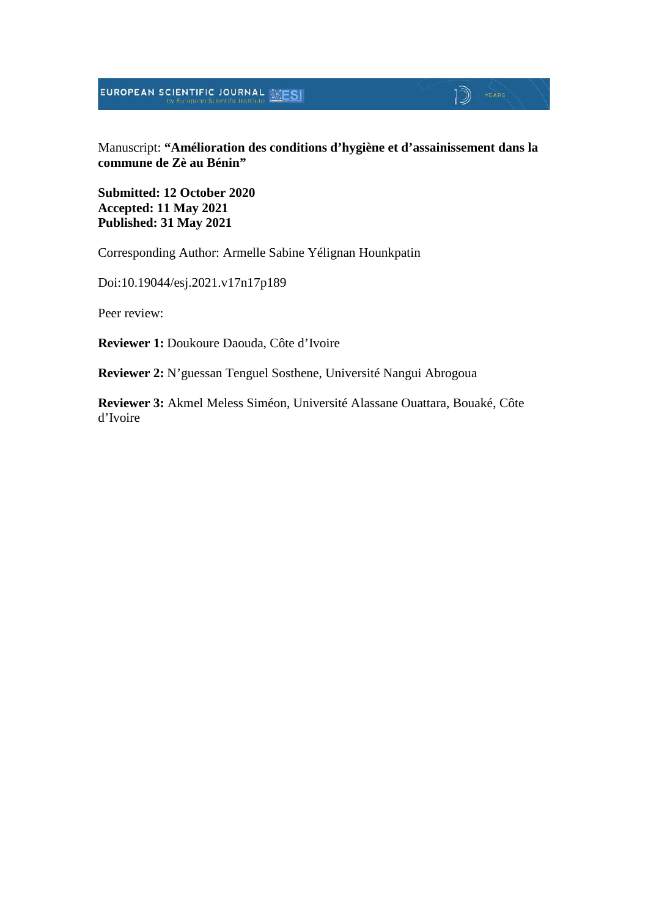**EUROPEAN SCIENTIFIC JOURNAL SESI** 

#### Manuscript: **"Amélioration des conditions d'hygiène et d'assainissement dans la commune de Zè au Bénin"**

 $\mathbb{D}$  YEARS

**Submitted: 12 October 2020 Accepted: 11 May 2021 Published: 31 May 2021**

Corresponding Author: Armelle Sabine Yélignan Hounkpatin

Doi:10.19044/esj.2021.v17n17p189

Peer review:

**Reviewer 1:** Doukoure Daouda, Côte d'Ivoire

**Reviewer 2:** N'guessan Tenguel Sosthene, Université Nangui Abrogoua

**Reviewer 3:** Akmel Meless Siméon, Université Alassane Ouattara, Bouaké, Côte d'Ivoire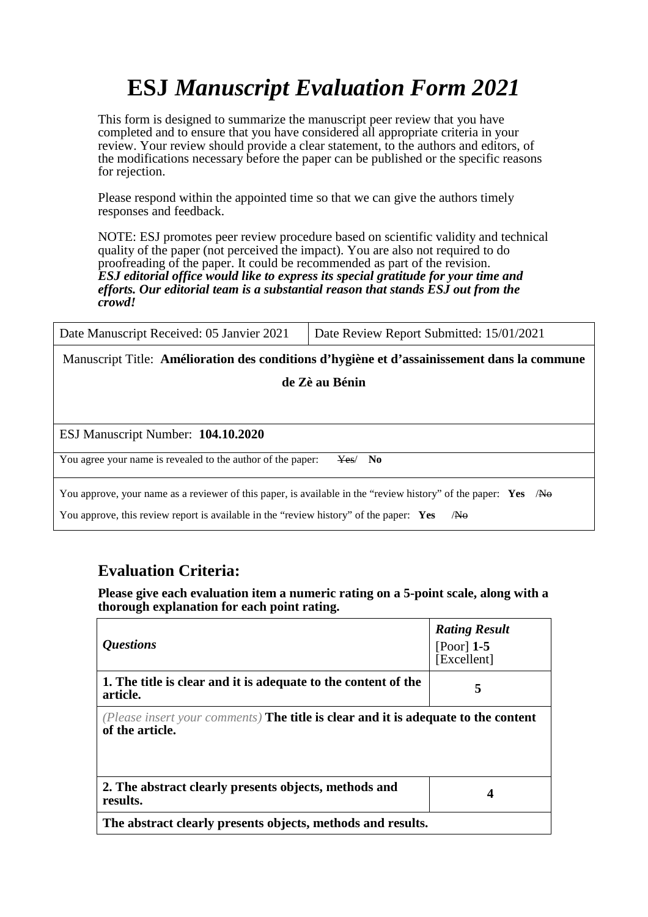# **ESJ** *Manuscript Evaluation Form 2021*

This form is designed to summarize the manuscript peer review that you have completed and to ensure that you have considered all appropriate criteria in your review. Your review should provide a clear statement, to the authors and editors, of the modifications necessary before the paper can be published or the specific reasons for rejection.

Please respond within the appointed time so that we can give the authors timely responses and feedback.

NOTE: ESJ promotes peer review procedure based on scientific validity and technical quality of the paper (not perceived the impact). You are also not required to do proofreading of the paper. It could be recommended as part of the revision. *ESJ editorial office would like to express its special gratitude for your time and efforts. Our editorial team is a substantial reason that stands ESJ out from the crowd!* 

| Date Manuscript Received: 05 Janvier 2021                                                                  | Date Review Report Submitted: 15/01/2021 |  |
|------------------------------------------------------------------------------------------------------------|------------------------------------------|--|
| Manuscript Title: Amélioration des conditions d'hygiène et d'assainissement dans la commune                |                                          |  |
| de Zè au Bénin                                                                                             |                                          |  |
|                                                                                                            |                                          |  |
| ESJ Manuscript Number: 104.10.2020                                                                         |                                          |  |
| You agree your name is revealed to the author of the paper:                                                | Yes/<br>No.                              |  |
| You approve, your name as a reviewer of this paper, is available in the "review history" of the paper: Yes | /No                                      |  |

You approve, this review report is available in the "review history" of the paper: Yes /No

#### **Evaluation Criteria:**

**Please give each evaluation item a numeric rating on a 5-point scale, along with a thorough explanation for each point rating.**

| <i><b>Ouestions</b></i>                                                                                      | <b>Rating Result</b><br>[Poor] $1-5$<br>[Excellent] |
|--------------------------------------------------------------------------------------------------------------|-----------------------------------------------------|
| 1. The title is clear and it is adequate to the content of the<br>article.                                   | 5                                                   |
| (Please insert your comments) <b>The title is clear and it is adequate to the content</b><br>of the article. |                                                     |
| 2. The abstract clearly presents objects, methods and<br>results.                                            | 4                                                   |
| The abstract clearly presents objects, methods and results.                                                  |                                                     |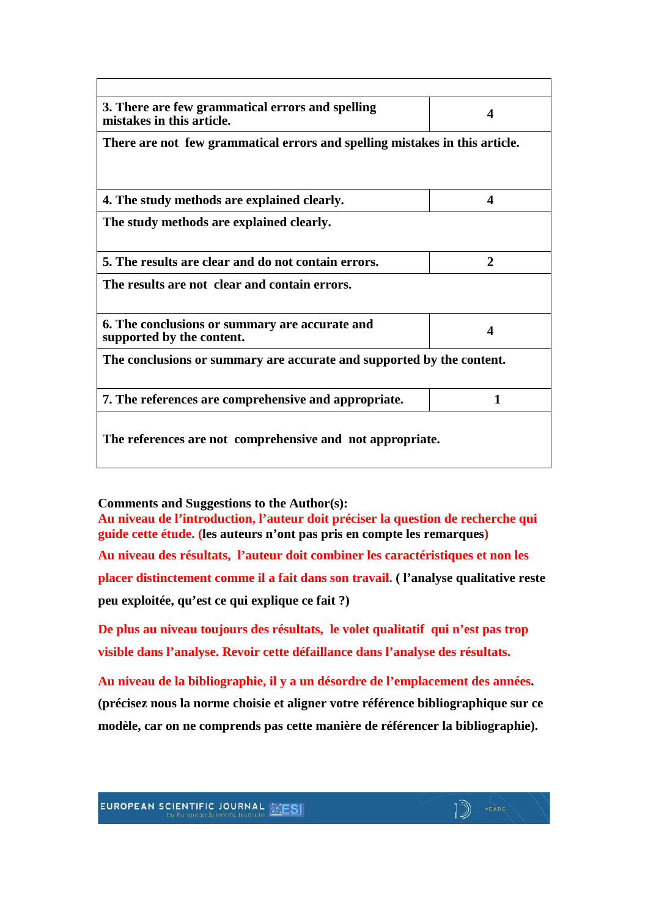| 3. There are few grammatical errors and spelling<br>mistakes in this article. | 4                |
|-------------------------------------------------------------------------------|------------------|
| There are not few grammatical errors and spelling mistakes in this article.   |                  |
|                                                                               |                  |
| 4. The study methods are explained clearly.                                   | $\boldsymbol{4}$ |
| The study methods are explained clearly.                                      |                  |
|                                                                               |                  |
| 5. The results are clear and do not contain errors.                           | $\mathbf{2}$     |
| The results are not clear and contain errors.                                 |                  |
|                                                                               |                  |
| 6. The conclusions or summary are accurate and<br>supported by the content.   | Δ                |
| The conclusions or summary are accurate and supported by the content.         |                  |
|                                                                               |                  |
|                                                                               | 1                |

**Comments and Suggestions to the Author(s):**

**Au niveau de l'introduction, l'auteur doit préciser la question de recherche qui guide cette étude. (les auteurs n'ont pas pris en compte les remarques) Au niveau des résultats, l'auteur doit combiner les caractéristiques et non les placer distinctement comme il a fait dans son travail. ( l'analyse qualitative reste peu exploitée, qu'est ce qui explique ce fait ?)**

**De plus au niveau toujours des résultats, le volet qualitatif qui n'est pas trop visible dans l'analyse. Revoir cette défaillance dans l'analyse des résultats.**

**Au niveau de la bibliographie, il y a un désordre de l'emplacement des années. (précisez nous la norme choisie et aligner votre référence bibliographique sur ce modèle, car on ne comprends pas cette manière de référencer la bibliographie).**

ID YEARS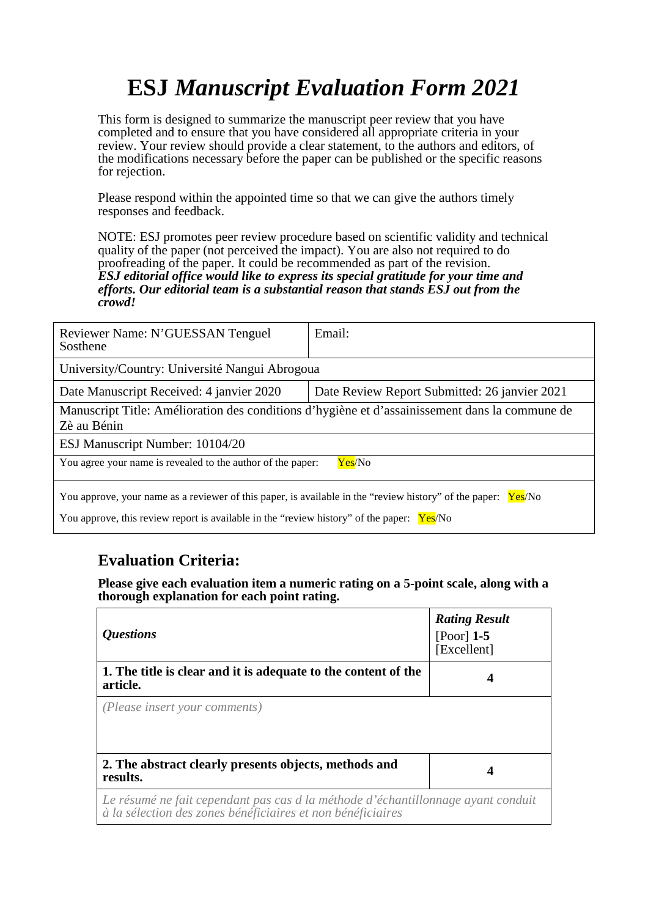# **ESJ** *Manuscript Evaluation Form 2021*

This form is designed to summarize the manuscript peer review that you have completed and to ensure that you have considered all appropriate criteria in your review. Your review should provide a clear statement, to the authors and editors, of the modifications necessary before the paper can be published or the specific reasons for rejection.

Please respond within the appointed time so that we can give the authors timely responses and feedback.

NOTE: ESJ promotes peer review procedure based on scientific validity and technical quality of the paper (not perceived the impact). You are also not required to do proofreading of the paper. It could be recommended as part of the revision. *ESJ editorial office would like to express its special gratitude for your time and efforts. Our editorial team is a substantial reason that stands ESJ out from the crowd!* 

| Reviewer Name: N'GUESSAN Tenguel<br>Sosthene                                                                     | Email:                                        |  |
|------------------------------------------------------------------------------------------------------------------|-----------------------------------------------|--|
| University/Country: Université Nangui Abrogoua                                                                   |                                               |  |
| Date Manuscript Received: 4 janvier 2020                                                                         | Date Review Report Submitted: 26 janvier 2021 |  |
| Manuscript Title: Amélioration des conditions d'hygiène et d'assainissement dans la commune de<br>Zè au Bénin    |                                               |  |
| ESJ Manuscript Number: 10104/20                                                                                  |                                               |  |
| You agree your name is revealed to the author of the paper:<br>Yes/No                                            |                                               |  |
| You approve, your name as a reviewer of this paper, is available in the "review history" of the paper:<br>Yes/No |                                               |  |
| You approve, this review report is available in the "review history" of the paper:                               | Yes/No                                        |  |

#### **Evaluation Criteria:**

**Please give each evaluation item a numeric rating on a 5-point scale, along with a thorough explanation for each point rating.**

| <i><b>Questions</b></i>                                                                                                                         | <b>Rating Result</b><br>$[Poor]$ 1-5<br>[Excellent] |
|-------------------------------------------------------------------------------------------------------------------------------------------------|-----------------------------------------------------|
| 1. The title is clear and it is adequate to the content of the<br>article.                                                                      | 4                                                   |
| (Please insert your comments)                                                                                                                   |                                                     |
| 2. The abstract clearly presents objects, methods and<br>results.                                                                               | 4                                                   |
| Le résumé ne fait cependant pas cas d la méthode d'échantillonnage ayant conduit<br>à la sélection des zones bénéficiaires et non bénéficiaires |                                                     |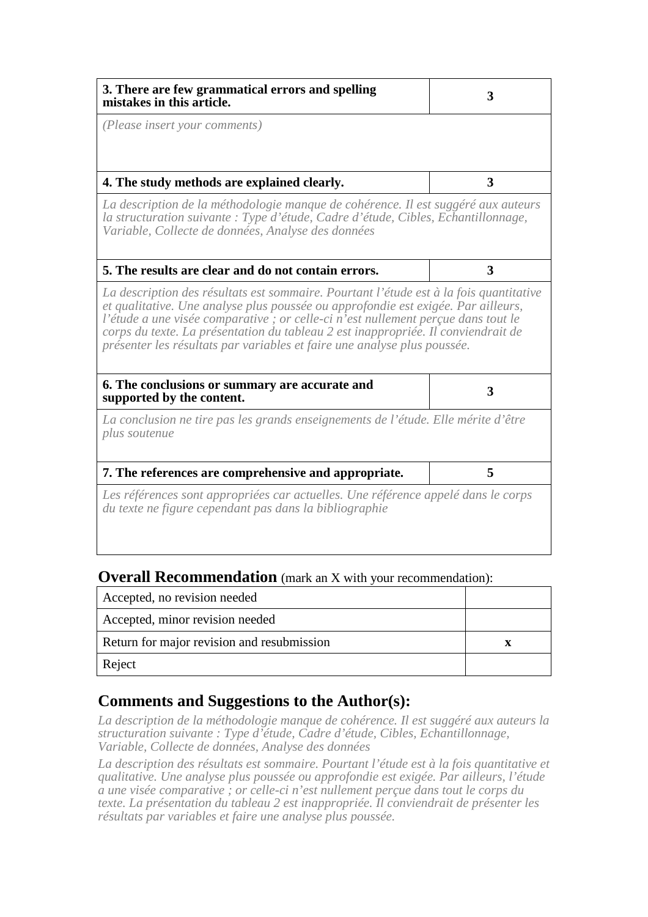| 3. There are few grammatical errors and spelling<br>mistakes in this article.                                                                                                                                                                                                                                                                                                                                                     | 3 |
|-----------------------------------------------------------------------------------------------------------------------------------------------------------------------------------------------------------------------------------------------------------------------------------------------------------------------------------------------------------------------------------------------------------------------------------|---|
| (Please insert your comments)                                                                                                                                                                                                                                                                                                                                                                                                     |   |
| 4. The study methods are explained clearly.                                                                                                                                                                                                                                                                                                                                                                                       | 3 |
| La description de la méthodologie manque de cohérence. Il est suggéré aux auteurs<br>la structuration suivante : Type d'étude, Cadre d'étude, Cibles, Echantillonnage,<br>Variable, Collecte de données, Analyse des données                                                                                                                                                                                                      |   |
| 5. The results are clear and do not contain errors.                                                                                                                                                                                                                                                                                                                                                                               | 3 |
| La description des résultats est sommaire. Pourtant l'étude est à la fois quantitative<br>et qualitative. Une analyse plus poussée ou approfondie est exigée. Par ailleurs,<br>l'étude a une visée comparative ; or celle-ci n'est nullement perçue dans tout le<br>corps du texte. La présentation du tableau 2 est inappropriée. Il conviendrait de<br>présenter les résultats par variables et faire une analyse plus poussée. |   |
| 6. The conclusions or summary are accurate and<br>supported by the content.                                                                                                                                                                                                                                                                                                                                                       | 3 |
| La conclusion ne tire pas les grands enseignements de l'étude. Elle mérite d'être<br>plus soutenue                                                                                                                                                                                                                                                                                                                                |   |
| 7. The references are comprehensive and appropriate.                                                                                                                                                                                                                                                                                                                                                                              | 5 |
| Les références sont appropriées car actuelles. Une référence appelé dans le corps<br>du texte ne figure cependant pas dans la bibliographie                                                                                                                                                                                                                                                                                       |   |

#### **Overall Recommendation** (mark an X with your recommendation):

| Accepted, no revision needed               |  |
|--------------------------------------------|--|
| Accepted, minor revision needed            |  |
| Return for major revision and resubmission |  |
| Reject                                     |  |

#### **Comments and Suggestions to the Author(s):**

*La description de la méthodologie manque de cohérence. Il est suggéré aux auteurs la structuration suivante : Type d'étude, Cadre d'étude, Cibles, Echantillonnage, Variable, Collecte de données, Analyse des données*

La description des résultats est sommaire. Pourtant l'étude est à la fois quantitative et *qualitative. Une analyse plus poussée ou approfondie est exigée. Par ailleurs, l'étude a une visée comparative ; or celle-ci n'est nullement perçue dans tout le corps du texte. La présentation du tableau 2 est inappropriée. Il conviendrait de présenter les résultats par variables et faire une analyse plus poussée.*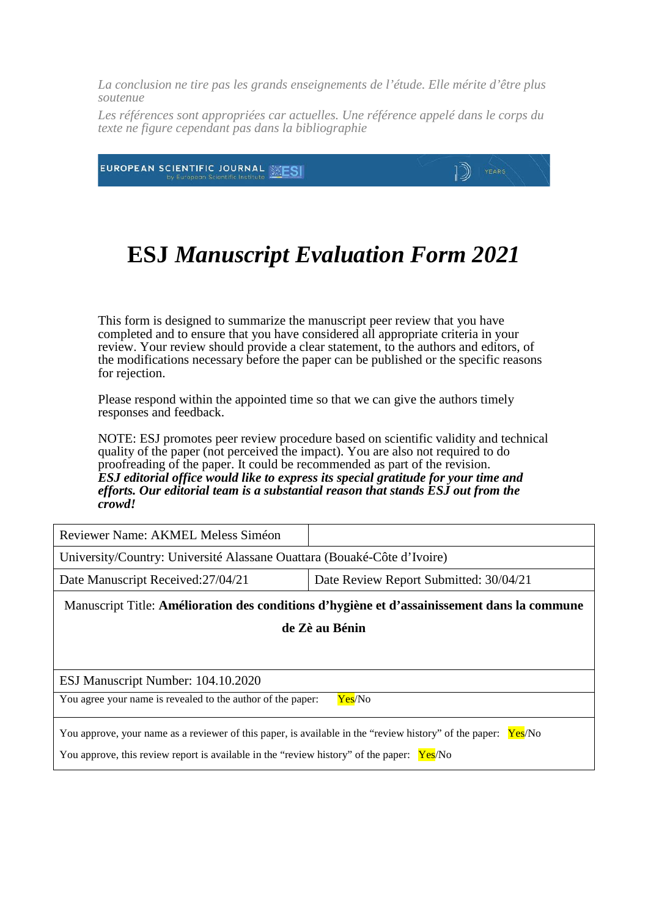*La conclusion ne tire pas les grands enseignements de l'étude. Elle mérite d'être plus soutenue*

Les références sont appropriées car actuelles. Une référence appelé dans le corps du *texte ne figure cependant pas dans la bibliographie*

1D)

EUROPEAN SCIENTIFIC JOURNAL **ENES** 

## **ESJ** *Manuscript Evaluation Form 2021*

This form is designed to summarize the manuscript peer review that you have completed and to ensure that you have considered all appropriate criteria in your review. Your review should provide a clear statement, to the authors and editors, of the modifications necessary before the paper can be published or the specific reasons for rejection.

Please respond within the appointed time so that we can give the authors timely responses and feedback.

NOTE: ESJ promotes peer review procedure based on scientific validity and technical quality of the paper (not perceived the impact). You are also not required to do proofreading of the paper. It could be recommended as part of the revision. *ESJ editorial office would like to express its special gratitude for your time and efforts. Our editorial team is a substantial reason that stands ESJ out from the crowd!* 

| Reviewer Name: AKMEL Meless Siméon                                                                                                                                                                            |                                        |  |
|---------------------------------------------------------------------------------------------------------------------------------------------------------------------------------------------------------------|----------------------------------------|--|
| University/Country: Université Alassane Ouattara (Bouaké-Côte d'Ivoire)                                                                                                                                       |                                        |  |
| Date Manuscript Received: 27/04/21                                                                                                                                                                            | Date Review Report Submitted: 30/04/21 |  |
| Manuscript Title: Amélioration des conditions d'hygiène et d'assainissement dans la commune                                                                                                                   |                                        |  |
| de Zè au Bénin                                                                                                                                                                                                |                                        |  |
|                                                                                                                                                                                                               |                                        |  |
| ESJ Manuscript Number: 104.10.2020                                                                                                                                                                            |                                        |  |
| You agree your name is revealed to the author of the paper:<br>Yes/No                                                                                                                                         |                                        |  |
| You approve, your name as a reviewer of this paper, is available in the "review history" of the paper:<br>Yes/No<br>You approve, this review report is available in the "review history" of the paper: Yes/No |                                        |  |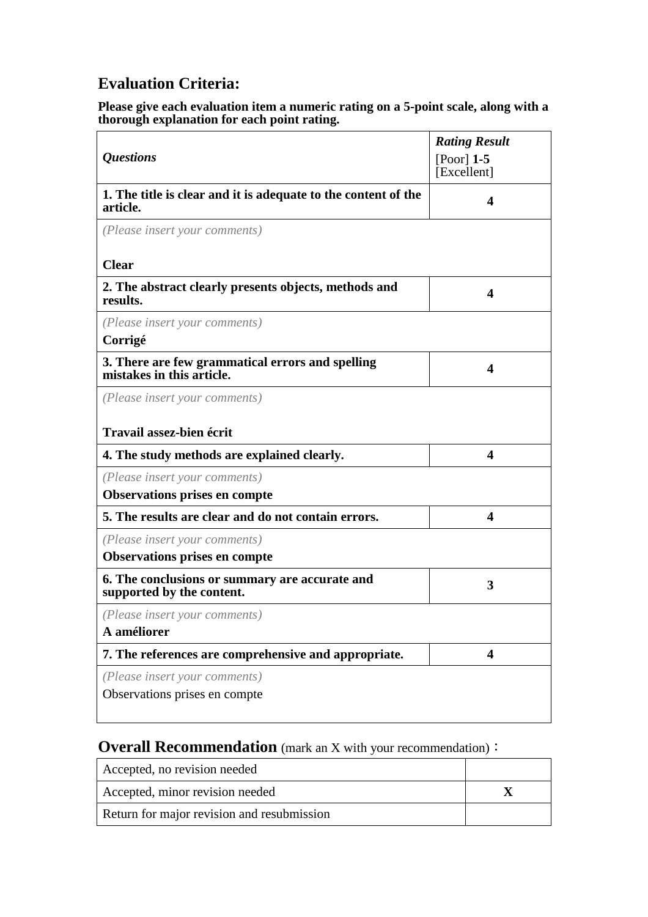### **Evaluation Criteria:**

#### **Please give each evaluation item a numeric rating on a 5-point scale, along with a thorough explanation for each point rating.**

| <b>Questions</b>                                                              | <b>Rating Result</b><br>$[Poor]$ 1-5<br>[Excellent] |
|-------------------------------------------------------------------------------|-----------------------------------------------------|
| 1. The title is clear and it is adequate to the content of the<br>article.    | 4                                                   |
| (Please insert your comments)                                                 |                                                     |
| <b>Clear</b>                                                                  |                                                     |
| 2. The abstract clearly presents objects, methods and<br>results.             | $\overline{\mathbf{4}}$                             |
| (Please insert your comments)<br>Corrigé                                      |                                                     |
| 3. There are few grammatical errors and spelling<br>mistakes in this article. | $\overline{\mathbf{4}}$                             |
| (Please insert your comments)                                                 |                                                     |
| <b>Travail assez-bien écrit</b>                                               |                                                     |
| 4. The study methods are explained clearly.                                   | $\overline{\mathbf{4}}$                             |
| (Please insert your comments)<br><b>Observations prises en compte</b>         |                                                     |
| 5. The results are clear and do not contain errors.                           | $\overline{\mathbf{4}}$                             |
| (Please insert your comments)<br><b>Observations prises en compte</b>         |                                                     |
| 6. The conclusions or summary are accurate and<br>supported by the content.   | 3                                                   |
| (Please insert your comments)<br>A améliorer                                  |                                                     |
| 7. The references are comprehensive and appropriate.                          | $\overline{\mathbf{4}}$                             |
| (Please insert your comments)<br>Observations prises en compte                |                                                     |

#### **Overall Recommendation** (mark an X with your recommendation):

| Accepted, no revision needed               |  |
|--------------------------------------------|--|
| Accepted, minor revision needed            |  |
| Return for major revision and resubmission |  |